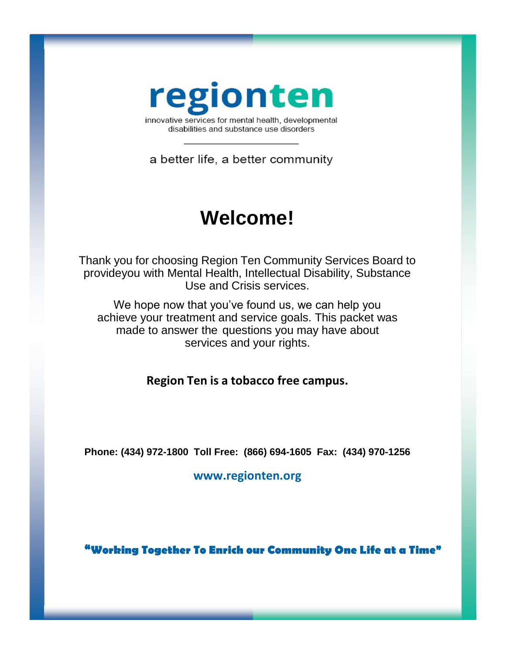

disabilities and substance use disorders

a better life, a better community

# **Welcome!**

Thank you for choosing Region Ten Community Services Board to provideyou with Mental Health, Intellectual Disability, Substance Use and Crisis services.

We hope now that you've found us, we can help you achieve your treatment and service goals. This packet was made to answer the questions you may have about services and your rights.

**Region Ten is a tobacco free campus.**

**Phone: (434) 972-1800 Toll Free: (866) 694-1605 Fax: (434) 970-1256**

**[www.regionten.org](http://www.regionten.org/)**

**"Working Together To Enrich our Community One Life at a Time"**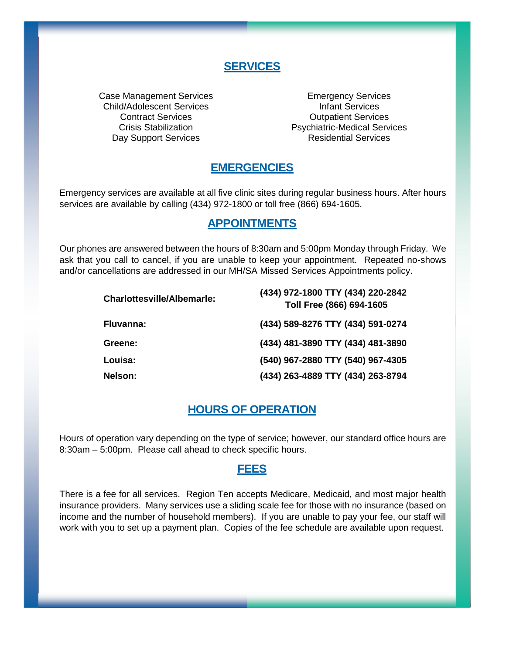### **SERVICES**

Case Management Services **Emergency Services** Child/Adolescent Services Infant Services Day Support Services **Residential Services** 

**Contract Services** Contract Services Crisis Stabilization Psychiatric-Medical Services

### **EMERGENCIES**

Emergency services are available at all five clinic sites during regular business hours. After hours services are available by calling (434) 972-1800 or toll free (866) 694-1605.

### **APPOINTMENTS**

Our phones are answered between the hours of 8:30am and 5:00pm Monday through Friday. We ask that you call to cancel, if you are unable to keep your appointment. Repeated no-shows and/or cancellations are addressed in our MH/SA Missed Services Appointments policy.

| <b>Charlottesville/Albemarle:</b> | (434) 972-1800 TTY (434) 220-2842<br>Toll Free (866) 694-1605 |
|-----------------------------------|---------------------------------------------------------------|
| Fluvanna:                         | (434) 589-8276 TTY (434) 591-0274                             |
| Greene:                           | (434) 481-3890 TTY (434) 481-3890                             |
| Louisa:                           | (540) 967-2880 TTY (540) 967-4305                             |
| <b>Nelson:</b>                    | (434) 263-4889 TTY (434) 263-8794                             |

### **HOURS OF OPERATION**

Hours of operation vary depending on the type of service; however, our standard office hours are 8:30am – 5:00pm. Please call ahead to check specific hours.

### **FEES**

There is a fee for all services. Region Ten accepts Medicare, Medicaid, and most major health insurance providers. Many services use a sliding scale fee for those with no insurance (based on income and the number of household members). If you are unable to pay your fee, our staff will work with you to set up a payment plan. Copies of the fee schedule are available upon request.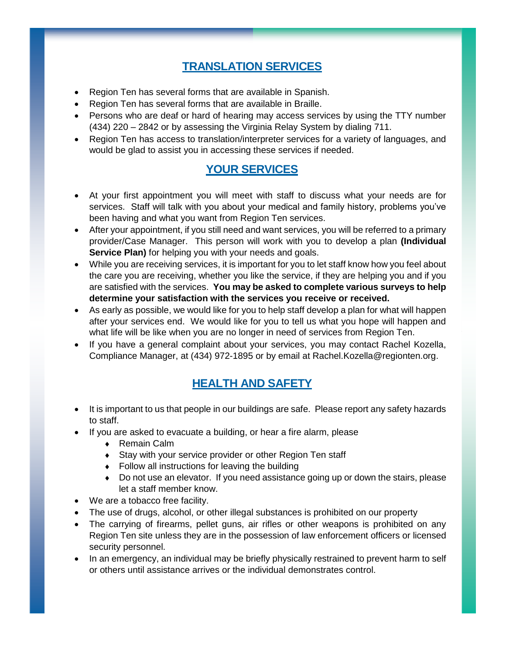# **TRANSLATION SERVICES**

- Region Ten has several forms that are available in Spanish.
- Region Ten has several forms that are available in Braille.
- Persons who are deaf or hard of hearing may access services by using the TTY number (434) 220 – 2842 or by assessing the Virginia Relay System by dialing 711.
- Region Ten has access to translation/interpreter services for a variety of languages, and would be glad to assist you in accessing these services if needed.

# **YOUR SERVICES**

- At your first appointment you will meet with staff to discuss what your needs are for services. Staff will talk with you about your medical and family history, problems you've been having and what you want from Region Ten services.
- After your appointment, if you still need and want services, you will be referred to a primary provider/Case Manager. This person will work with you to develop a plan **(Individual Service Plan)** for helping you with your needs and goals.
- While you are receiving services, it is important for you to let staff know how you feel about the care you are receiving, whether you like the service, if they are helping you and if you are satisfied with the services. **You may be asked to complete various surveys to help**  determine your satisfaction with the services you receive or received.
- As early as possible, we would like for you to help staff develop a plan for what will happen after your services end. We would like for you to tell us what you hope will happen and what life will be like when you are no longer in need of services from Region Ten.
- If you have a general complaint about your services, you may contact Rachel Kozella, Compliance Manager, at (434) 972-1895 or by email at Rachel.Kozella@regionten.org.

# **HEALTH AND SAFETY**

- It is important to us that people in our buildings are safe. Please report any safety hazards to staff.
- If you are asked to evacuate a building, or hear a fire alarm, please
	- ◆ Remain Calm
	- Stay with your service provider or other Region Ten staff
	- Follow all instructions for leaving the building
	- Do not use an elevator. If you need assistance going up or down the stairs, please let a staff member know.
- We are a tobacco free facility.
- The use of drugs, alcohol, or other illegal substances is prohibited on our property
- The carrying of firearms, pellet guns, air rifles or other weapons is prohibited on any Region Ten site unless they are in the possession of law enforcement officers or licensed security personnel.
- In an emergency, an individual may be briefly physically restrained to prevent harm to self or others until assistance arrives or the individual demonstrates control.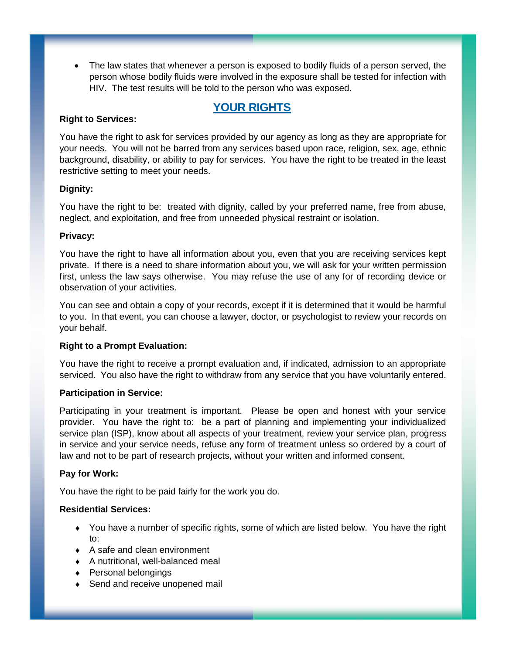• The law states that whenever a person is exposed to bodily fluids of a person served, the person whose bodily fluids were involved in the exposure shall be tested for infection with HIV. The test results will be told to the person who was exposed.

### **YOUR RIGHTS**

#### **Right to Services:**

You have the right to ask for services provided by our agency as long as they are appropriate for your needs. You will not be barred from any services based upon race, religion, sex, age, ethnic background, disability, or ability to pay for services. You have the right to be treated in the least restrictive setting to meet your needs.

#### **Dignity:**

You have the right to be: treated with dignity, called by your preferred name, free from abuse, neglect, and exploitation, and free from unneeded physical restraint or isolation.

#### **Privacy:**

You have the right to have all information about you, even that you are receiving services kept private. If there is a need to share information about you, we will ask for your written permission first, unless the law says otherwise. You may refuse the use of any for of recording device or observation of your activities.

You can see and obtain a copy of your records, except if it is determined that it would be harmful to you. In that event, you can choose a lawyer, doctor, or psychologist to review your records on your behalf.

#### **Right to a Prompt Evaluation:**

You have the right to receive a prompt evaluation and, if indicated, admission to an appropriate serviced. You also have the right to withdraw from any service that you have voluntarily entered.

#### **Participation in Service:**

Participating in your treatment is important. Please be open and honest with your service provider. You have the right to: be a part of planning and implementing your individualized service plan (ISP), know about all aspects of your treatment, review your service plan, progress in service and your service needs, refuse any form of treatment unless so ordered by a court of law and not to be part of research projects, without your written and informed consent.

#### **Pay for Work:**

You have the right to be paid fairly for the work you do.

#### **Residential Services:**

- You have a number of specific rights, some of which are listed below. You have the right to:
- A safe and clean environment
- A nutritional, well-balanced meal
- ◆ Personal belongings
- ◆ Send and receive unopened mail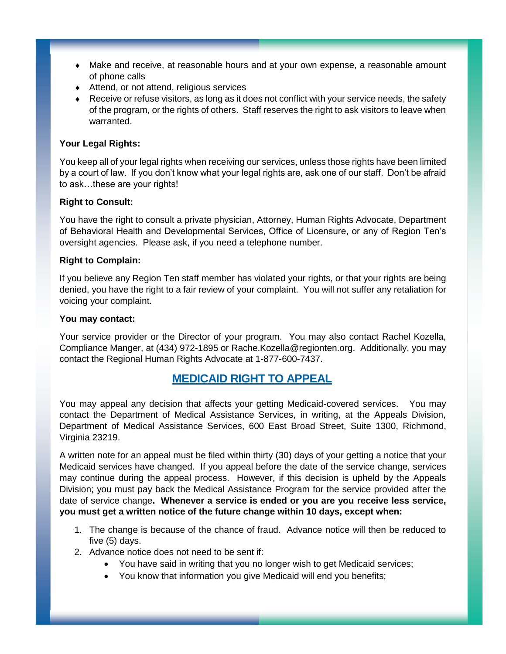- Make and receive, at reasonable hours and at your own expense, a reasonable amount of phone calls
- Attend, or not attend, religious services
- Receive or refuse visitors, as long as it does not conflict with your service needs, the safety of the program, or the rights of others. Staff reserves the right to ask visitors to leave when warranted.

#### **Your Legal Rights:**

You keep all of your legal rights when receiving our services, unless those rights have been limited by a court of law. If you don't know what your legal rights are, ask one of our staff. Don't be afraid to ask…these are your rights!

#### **Right to Consult:**

You have the right to consult a private physician, Attorney, Human Rights Advocate, Department of Behavioral Health and Developmental Services, Office of Licensure, or any of Region Ten's oversight agencies. Please ask, if you need a telephone number.

#### **Right to Complain:**

If you believe any Region Ten staff member has violated your rights, or that your rights are being denied, you have the right to a fair review of your complaint. You will not suffer any retaliation for voicing your complaint.

#### **You may contact:**

Your service provider or the Director of your program. You may also contact Rachel Kozella, Compliance Manger, at (434) 972-1895 or Rache.Kozella@regionten.org. Additionally, you may contact the Regional Human Rights Advocate at 1-877-600-7437.

### **MEDICAID RIGHT TO APPEAL**

You may appeal any decision that affects your getting Medicaid-covered services. You may contact the Department of Medical Assistance Services, in writing, at the Appeals Division, Department of Medical Assistance Services, 600 East Broad Street, Suite 1300, Richmond, Virginia 23219.

A written note for an appeal must be filed within thirty (30) days of your getting a notice that your Medicaid services have changed. If you appeal before the date of the service change, services may continue during the appeal process. However, if this decision is upheld by the Appeals Division; you must pay back the Medical Assistance Program for the service provided after the date of service change**. Whenever a service is ended or you are you receive less service, you must get a written notice of the future change within 10 days, except when:** 

- 1. The change is because of the chance of fraud. Advance notice will then be reduced to five (5) days.
- 2. Advance notice does not need to be sent if:
	- You have said in writing that you no longer wish to get Medicaid services;
	- You know that information you give Medicaid will end you benefits;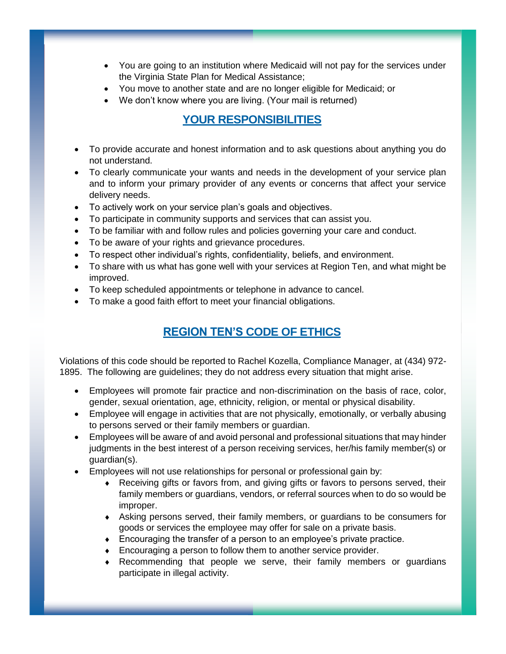- You are going to an institution where Medicaid will not pay for the services under the Virginia State Plan for Medical Assistance;
- You move to another state and are no longer eligible for Medicaid; or
- We don't know where you are living. (Your mail is returned)

# **YOUR RESPONSIBILITIES**

- To provide accurate and honest information and to ask questions about anything you do not understand.
- To clearly communicate your wants and needs in the development of your service plan and to inform your primary provider of any events or concerns that affect your service delivery needs.
- To actively work on your service plan's goals and objectives.
- To participate in community supports and services that can assist you.
- To be familiar with and follow rules and policies governing your care and conduct.
- To be aware of your rights and grievance procedures.
- To respect other individual's rights, confidentiality, beliefs, and environment.
- To share with us what has gone well with your services at Region Ten, and what might be improved.
- To keep scheduled appointments or telephone in advance to cancel.
- To make a good faith effort to meet your financial obligations.

# **REGION TEN'S CODE OF ETHICS**

Violations of this code should be reported to Rachel Kozella, Compliance Manager, at (434) 972- 1895. The following are guidelines; they do not address every situation that might arise.

- Employees will promote fair practice and non-discrimination on the basis of race, color, gender, sexual orientation, age, ethnicity, religion, or mental or physical disability.
- Employee will engage in activities that are not physically, emotionally, or verbally abusing to persons served or their family members or guardian.
- Employees will be aware of and avoid personal and professional situations that may hinder judgments in the best interest of a person receiving services, her/his family member(s) or guardian(s).
- Employees will not use relationships for personal or professional gain by:
	- Receiving gifts or favors from, and giving gifts or favors to persons served, their family members or guardians, vendors, or referral sources when to do so would be improper.
	- Asking persons served, their family members, or guardians to be consumers for goods or services the employee may offer for sale on a private basis.
	- Encouraging the transfer of a person to an employee's private practice.
	- Encouraging a person to follow them to another service provider.
	- Recommending that people we serve, their family members or guardians participate in illegal activity.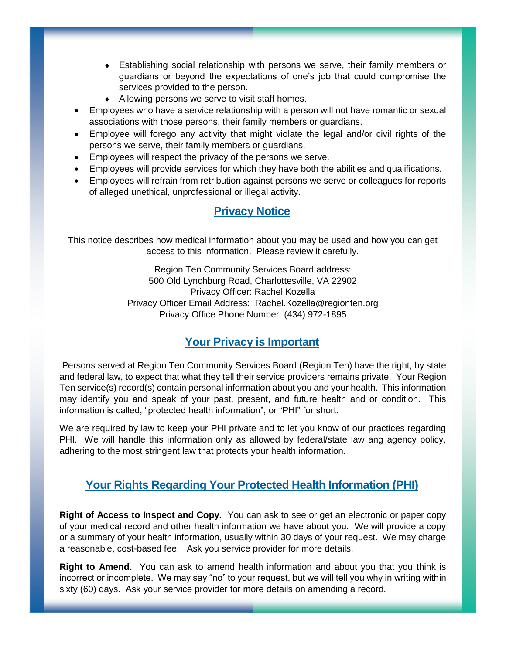- Establishing social relationship with persons we serve, their family members or guardians or beyond the expectations of one's job that could compromise the services provided to the person.
- Allowing persons we serve to visit staff homes.
- Employees who have a service relationship with a person will not have romantic or sexual associations with those persons, their family members or guardians.
- Employee will forego any activity that might violate the legal and/or civil rights of the persons we serve, their family members or guardians.
- Employees will respect the privacy of the persons we serve.
- Employees will provide services for which they have both the abilities and qualifications.
- Employees will refrain from retribution against persons we serve or colleagues for reports of alleged unethical, unprofessional or illegal activity.

# **Privacy Notice**

This notice describes how medical information about you may be used and how you can get access to this information. Please review it carefully.

> Region Ten Community Services Board address: 500 Old Lynchburg Road, Charlottesville, VA 22902 Privacy Officer: Rachel Kozella Privacy Officer Email Address: Rachel.Kozella@regionten.org Privacy Office Phone Number: (434) 972-1895

# **Your Privacy is Important**

Persons served at Region Ten Community Services Board (Region Ten) have the right, by state and federal law, to expect that what they tell their service providers remains private. Your Region Ten service(s) record(s) contain personal information about you and your health. This information may identify you and speak of your past, present, and future health and or condition. This information is called, "protected health information", or "PHI" for short.

We are required by law to keep your PHI private and to let you know of our practices regarding PHI. We will handle this information only as allowed by federal/state law ang agency policy, adhering to the most stringent law that protects your health information.

### **Your Rights Regarding Your Protected Health Information (PHI)**

**Right of Access to Inspect and Copy.** You can ask to see or get an electronic or paper copy of your medical record and other health information we have about you. We will provide a copy or a summary of your health information, usually within 30 days of your request. We may charge a reasonable, cost-based fee. Ask you service provider for more details.

**Right to Amend.** You can ask to amend health information and about you that you think is incorrect or incomplete. We may say "no" to your request, but we will tell you why in writing within sixty (60) days. Ask your service provider for more details on amending a record.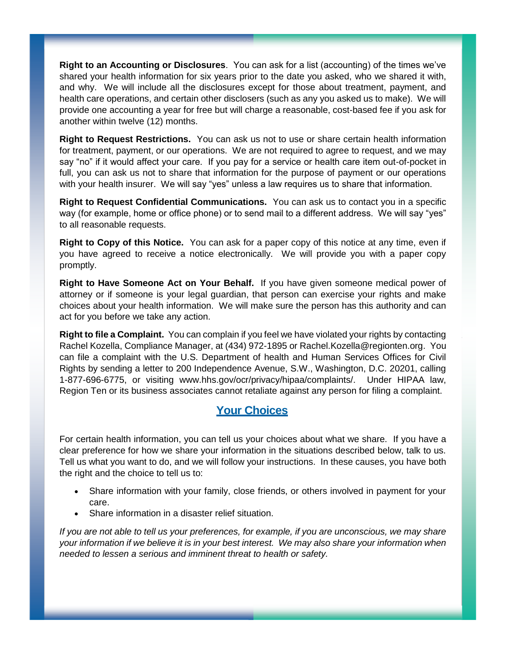**Right to an Accounting or Disclosures**. You can ask for a list (accounting) of the times we've shared your health information for six years prior to the date you asked, who we shared it with, and why. We will include all the disclosures except for those about treatment, payment, and health care operations, and certain other disclosers (such as any you asked us to make). We will provide one accounting a year for free but will charge a reasonable, cost-based fee if you ask for another within twelve (12) months.

**Right to Request Restrictions.** You can ask us not to use or share certain health information for treatment, payment, or our operations. We are not required to agree to request, and we may say "no" if it would affect your care. If you pay for a service or health care item out-of-pocket in full, you can ask us not to share that information for the purpose of payment or our operations with your health insurer. We will say "yes" unless a law requires us to share that information.

**Right to Request Confidential Communications.** You can ask us to contact you in a specific way (for example, home or office phone) or to send mail to a different address. We will say "yes" to all reasonable requests.

**Right to Copy of this Notice.** You can ask for a paper copy of this notice at any time, even if you have agreed to receive a notice electronically. We will provide you with a paper copy promptly.

**Right to Have Someone Act on Your Behalf.** If you have given someone medical power of attorney or if someone is your legal guardian, that person can exercise your rights and make choices about your health information. We will make sure the person has this authority and can act for you before we take any action.

**Right to file a Complaint.** You can complain if you feel we have violated your rights by contacting Rachel Kozella, Compliance Manager, at (434) 972-1895 or Rachel.Kozella@regionten.org. You can file a complaint with the U.S. Department of health and Human Services Offices for Civil Rights by sending a letter to 200 Independence Avenue, S.W., Washington, D.C. 20201, calling 1-877-696-6775, or visiting www.hhs.gov/ocr/privacy/hipaa/complaints/. Under HIPAA law, Region Ten or its business associates cannot retaliate against any person for filing a complaint.

# **Your Choices**

For certain health information, you can tell us your choices about what we share. If you have a clear preference for how we share your information in the situations described below, talk to us. Tell us what you want to do, and we will follow your instructions. In these causes, you have both the right and the choice to tell us to:

- Share information with your family, close friends, or others involved in payment for your care.
- Share information in a disaster relief situation.

*If you are not able to tell us your preferences, for example, if you are unconscious, we may share your information if we believe it is in your best interest. We may also share your information when needed to lessen a serious and imminent threat to health or safety.*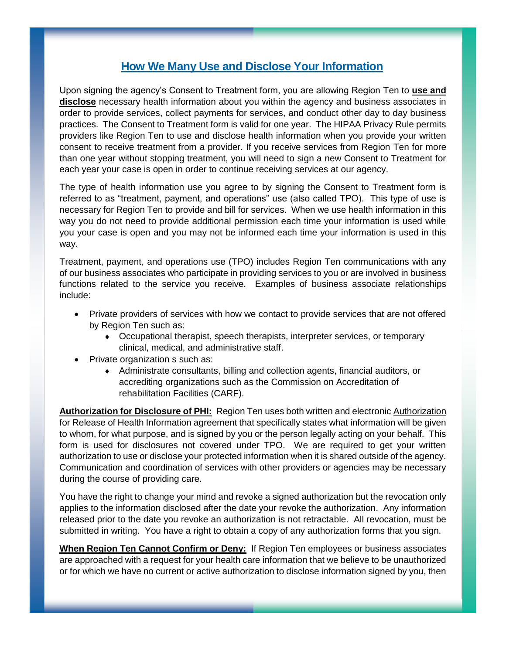# **How We Many Use and Disclose Your Information**

Upon signing the agency's Consent to Treatment form, you are allowing Region Ten to **use and disclose** necessary health information about you within the agency and business associates in order to provide services, collect payments for services, and conduct other day to day business practices. The Consent to Treatment form is valid for one year. The HIPAA Privacy Rule permits providers like Region Ten to use and disclose health information when you provide your written consent to receive treatment from a provider. If you receive services from Region Ten for more than one year without stopping treatment, you will need to sign a new Consent to Treatment for each year your case is open in order to continue receiving services at our agency.

The type of health information use you agree to by signing the Consent to Treatment form is referred to as "treatment, payment, and operations" use (also called TPO). This type of use is necessary for Region Ten to provide and bill for services. When we use health information in this way you do not need to provide additional permission each time your information is used while you your case is open and you may not be informed each time your information is used in this way.

Treatment, payment, and operations use (TPO) includes Region Ten communications with any of our business associates who participate in providing services to you or are involved in business functions related to the service you receive. Examples of business associate relationships include:

- Private providers of services with how we contact to provide services that are not offered by Region Ten such as:
	- Occupational therapist, speech therapists, interpreter services, or temporary clinical, medical, and administrative staff.
- Private organization s such as:
	- Administrate consultants, billing and collection agents, financial auditors, or accrediting organizations such as the Commission on Accreditation of rehabilitation Facilities (CARF).

**Authorization for Disclosure of PHI:** Region Ten uses both written and electronic Authorization for Release of Health Information agreement that specifically states what information will be given to whom, for what purpose, and is signed by you or the person legally acting on your behalf. This form is used for disclosures not covered under TPO. We are required to get your written authorization to use or disclose your protected information when it is shared outside of the agency. Communication and coordination of services with other providers or agencies may be necessary during the course of providing care.

You have the right to change your mind and revoke a signed authorization but the revocation only applies to the information disclosed after the date your revoke the authorization. Any information released prior to the date you revoke an authorization is not retractable. All revocation, must be submitted in writing. You have a right to obtain a copy of any authorization forms that you sign.

**When Region Ten Cannot Confirm or Deny:** If Region Ten employees or business associates are approached with a request for your health care information that we believe to be unauthorized or for which we have no current or active authorization to disclose information signed by you, then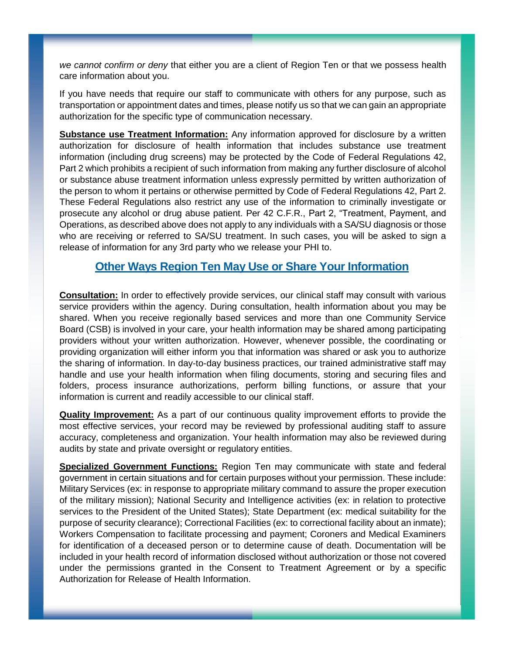*we cannot confirm or deny* that either you are a client of Region Ten or that we possess health care information about you.

If you have needs that require our staff to communicate with others for any purpose, such as transportation or appointment dates and times, please notify us so that we can gain an appropriate authorization for the specific type of communication necessary.

**Substance use Treatment Information:** Any information approved for disclosure by a written authorization for disclosure of health information that includes substance use treatment information (including drug screens) may be protected by the Code of Federal Regulations 42, Part 2 which prohibits a recipient of such information from making any further disclosure of alcohol or substance abuse treatment information unless expressly permitted by written authorization of the person to whom it pertains or otherwise permitted by Code of Federal Regulations 42, Part 2. These Federal Regulations also restrict any use of the information to criminally investigate or prosecute any alcohol or drug abuse patient. Per 42 C.F.R., Part 2, "Treatment, Payment, and Operations, as described above does not apply to any individuals with a SA/SU diagnosis or those who are receiving or referred to SA/SU treatment. In such cases, you will be asked to sign a release of information for any 3rd party who we release your PHI to.

### **Other Ways Region Ten May Use or Share Your Information**

**Consultation:** In order to effectively provide services, our clinical staff may consult with various service providers within the agency. During consultation, health information about you may be shared. When you receive regionally based services and more than one Community Service Board (CSB) is involved in your care, your health information may be shared among participating providers without your written authorization. However, whenever possible, the coordinating or providing organization will either inform you that information was shared or ask you to authorize the sharing of information. In day-to-day business practices, our trained administrative staff may handle and use your health information when filing documents, storing and securing files and folders, process insurance authorizations, perform billing functions, or assure that your information is current and readily accessible to our clinical staff.

**Quality Improvement:** As a part of our continuous quality improvement efforts to provide the most effective services, your record may be reviewed by professional auditing staff to assure accuracy, completeness and organization. Your health information may also be reviewed during audits by state and private oversight or regulatory entities.

**Specialized Government Functions:** Region Ten may communicate with state and federal government in certain situations and for certain purposes without your permission. These include: Military Services (ex: in response to appropriate military command to assure the proper execution of the military mission); National Security and Intelligence activities (ex: in relation to protective services to the President of the United States); State Department (ex: medical suitability for the purpose of security clearance); Correctional Facilities (ex: to correctional facility about an inmate); Workers Compensation to facilitate processing and payment; Coroners and Medical Examiners for identification of a deceased person or to determine cause of death. Documentation will be included in your health record of information disclosed without authorization or those not covered under the permissions granted in the Consent to Treatment Agreement or by a specific Authorization for Release of Health Information.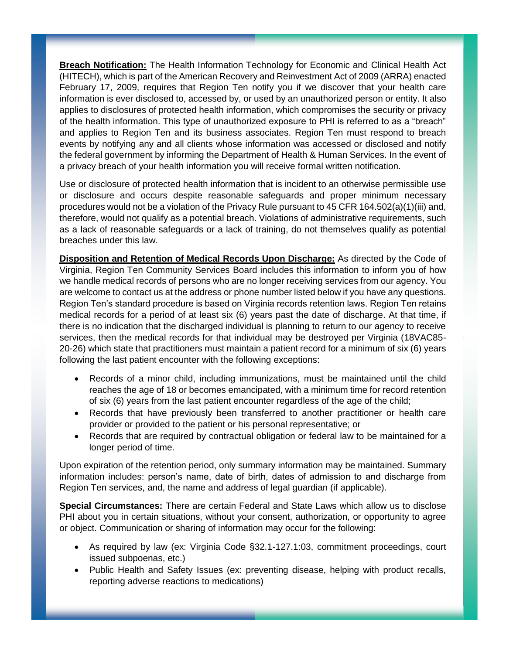**Breach Notification:** The Health Information Technology for Economic and Clinical Health Act (HITECH), which is part of the American Recovery and Reinvestment Act of 2009 (ARRA) enacted February 17, 2009, requires that Region Ten notify you if we discover that your health care information is ever disclosed to, accessed by, or used by an unauthorized person or entity. It also applies to disclosures of protected health information, which compromises the security or privacy of the health information. This type of unauthorized exposure to PHI is referred to as a "breach" and applies to Region Ten and its business associates. Region Ten must respond to breach events by notifying any and all clients whose information was accessed or disclosed and notify the federal government by informing the Department of Health & Human Services. In the event of a privacy breach of your health information you will receive formal written notification.

Use or disclosure of protected health information that is incident to an otherwise permissible use or disclosure and occurs despite reasonable safeguards and proper minimum necessary procedures would not be a violation of the Privacy Rule pursuant to 45 CFR 164.502(a)(1)(iii) and, therefore, would not qualify as a potential breach. Violations of administrative requirements, such as a lack of reasonable safeguards or a lack of training, do not themselves qualify as potential breaches under this law.

**Disposition and Retention of Medical Records Upon Discharge:** As directed by the Code of Virginia, Region Ten Community Services Board includes this information to inform you of how we handle medical records of persons who are no longer receiving services from our agency. You are welcome to contact us at the address or phone number listed below if you have any questions. Region Ten's standard procedure is based on Virginia records retention laws. Region Ten retains medical records for a period of at least six (6) years past the date of discharge. At that time, if there is no indication that the discharged individual is planning to return to our agency to receive services, then the medical records for that individual may be destroyed per Virginia (18VAC85- 20-26) which state that practitioners must maintain a patient record for a minimum of six (6) years following the last patient encounter with the following exceptions:

- Records of a minor child, including immunizations, must be maintained until the child reaches the age of 18 or becomes emancipated, with a minimum time for record retention of six (6) years from the last patient encounter regardless of the age of the child;
- Records that have previously been transferred to another practitioner or health care provider or provided to the patient or his personal representative; or
- Records that are required by contractual obligation or federal law to be maintained for a longer period of time.

Upon expiration of the retention period, only summary information may be maintained. Summary information includes: person's name, date of birth, dates of admission to and discharge from Region Ten services, and, the name and address of legal guardian (if applicable).

**Special Circumstances:** There are certain Federal and State Laws which allow us to disclose PHI about you in certain situations, without your consent, authorization, or opportunity to agree or object. Communication or sharing of information may occur for the following:

- As required by law (ex: Virginia Code §32.1-127.1:03, commitment proceedings, court issued subpoenas, etc.)
- Public Health and Safety Issues (ex: preventing disease, helping with product recalls, reporting adverse reactions to medications)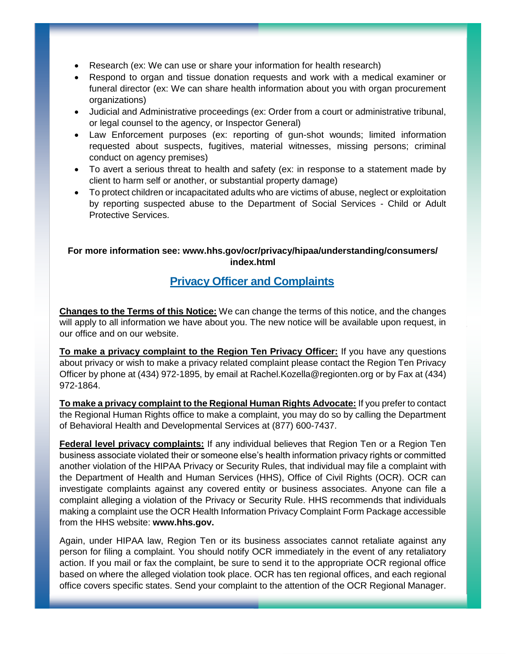- Research (ex: We can use or share your information for health research)
- Respond to organ and tissue donation requests and work with a medical examiner or funeral director (ex: We can share health information about you with organ procurement organizations)
- Judicial and Administrative proceedings (ex: Order from a court or administrative tribunal, or legal counsel to the agency, or Inspector General)
- Law Enforcement purposes (ex: reporting of gun-shot wounds; limited information requested about suspects, fugitives, material witnesses, missing persons; criminal conduct on agency premises)
- To avert a serious threat to health and safety (ex: in response to a statement made by client to harm self or another, or substantial property damage)
- To protect children or incapacitated adults who are victims of abuse, neglect or exploitation by reporting suspected abuse to the Department of Social Services - Child or Adult Protective Services.

#### **For more information see: www.hhs.gov/ocr/privacy/hipaa/understanding/consumers/ index.html**

### **Privacy Officer and Complaints**

**Changes to the Terms of this Notice:** We can change the terms of this notice, and the changes will apply to all information we have about you. The new notice will be available upon request, in our office and on our website.

**To make a privacy complaint to the Region Ten Privacy Officer:** If you have any questions about privacy or wish to make a privacy related complaint please contact the Region Ten Privacy Officer by phone at (434) 972-1895, by email at Rachel.Kozella@regionten.org or by Fax at (434) 972-1864.

**To make a privacy complaint to the Regional Human Rights Advocate:** If you prefer to contact the Regional Human Rights office to make a complaint, you may do so by calling the Department of Behavioral Health and Developmental Services at (877) 600-7437.

**Federal level privacy complaints:** If any individual believes that Region Ten or a Region Ten business associate violated their or someone else's health information privacy rights or committed another violation of the HIPAA Privacy or Security Rules, that individual may file a complaint with the Department of Health and Human Services (HHS), Office of Civil Rights (OCR). OCR can investigate complaints against any covered entity or business associates. Anyone can file a complaint alleging a violation of the Privacy or Security Rule. HHS recommends that individuals making a complaint use the OCR Health Information Privacy Complaint Form Package accessible from the HHS website: **www.hhs.gov.**

Again, under HIPAA law, Region Ten or its business associates cannot retaliate against any person for filing a complaint. You should notify OCR immediately in the event of any retaliatory action. If you mail or fax the complaint, be sure to send it to the appropriate OCR regional office based on where the alleged violation took place. OCR has ten regional offices, and each regional office covers specific states. Send your complaint to the attention of the OCR Regional Manager.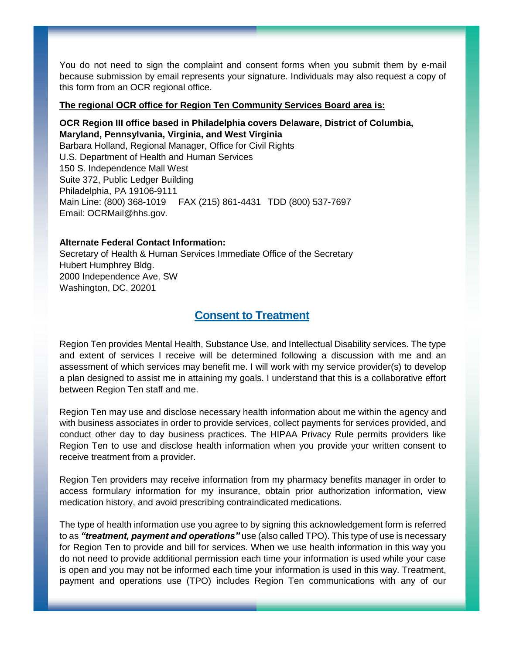You do not need to sign the complaint and consent forms when you submit them by e-mail because submission by email represents your signature. Individuals may also request a copy of this form from an OCR regional office.

#### **The regional OCR office for Region Ten Community Services Board area is:**

#### **OCR Region III office based in Philadelphia covers Delaware, District of Columbia, Maryland, Pennsylvania, Virginia, and West Virginia** Barbara Holland, Regional Manager, Office for Civil Rights

U.S. Department of Health and Human Services 150 S. Independence Mall West Suite 372, Public Ledger Building Philadelphia, PA 19106-9111 Main Line: (800) 368-1019 FAX (215) 861-4431 TDD (800) 537-7697 Email: OCRMail@hhs.gov.

#### **Alternate Federal Contact Information:**

Secretary of Health & Human Services Immediate Office of the Secretary Hubert Humphrey Bldg. 2000 Independence Ave. SW Washington, DC. 20201

### **Consent to Treatment**

Region Ten provides Mental Health, Substance Use, and Intellectual Disability services. The type and extent of services I receive will be determined following a discussion with me and an assessment of which services may benefit me. I will work with my service provider(s) to develop a plan designed to assist me in attaining my goals. I understand that this is a collaborative effort between Region Ten staff and me.

Region Ten may use and disclose necessary health information about me within the agency and with business associates in order to provide services, collect payments for services provided, and conduct other day to day business practices. The HIPAA Privacy Rule permits providers like Region Ten to use and disclose health information when you provide your written consent to receive treatment from a provider.

Region Ten providers may receive information from my pharmacy benefits manager in order to access formulary information for my insurance, obtain prior authorization information, view medication history, and avoid prescribing contraindicated medications.

The type of health information use you agree to by signing this acknowledgement form is referred to as *"treatment, payment and operations"* use (also called TPO). This type of use is necessary for Region Ten to provide and bill for services. When we use health information in this way you do not need to provide additional permission each time your information is used while your case is open and you may not be informed each time your information is used in this way. Treatment, payment and operations use (TPO) includes Region Ten communications with any of our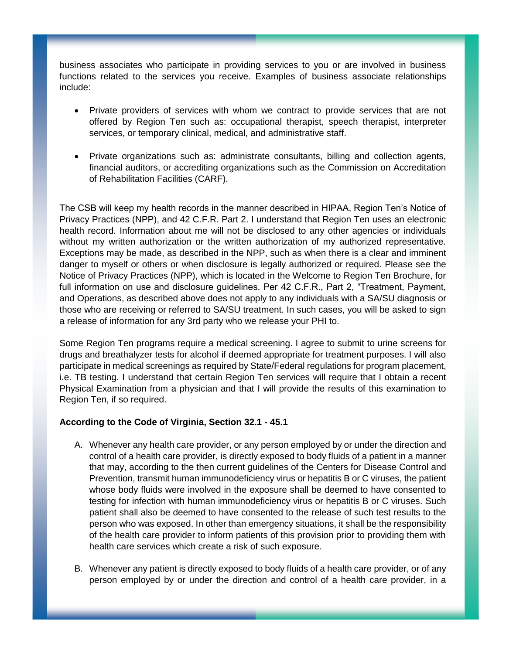business associates who participate in providing services to you or are involved in business functions related to the services you receive. Examples of business associate relationships include:

- Private providers of services with whom we contract to provide services that are not offered by Region Ten such as: occupational therapist, speech therapist, interpreter services, or temporary clinical, medical, and administrative staff.
- Private organizations such as: administrate consultants, billing and collection agents, financial auditors, or accrediting organizations such as the Commission on Accreditation of Rehabilitation Facilities (CARF).

The CSB will keep my health records in the manner described in HIPAA, Region Ten's Notice of Privacy Practices (NPP), and 42 C.F.R. Part 2. I understand that Region Ten uses an electronic health record. Information about me will not be disclosed to any other agencies or individuals without my written authorization or the written authorization of my authorized representative. Exceptions may be made, as described in the NPP, such as when there is a clear and imminent danger to myself or others or when disclosure is legally authorized or required. Please see the Notice of Privacy Practices (NPP), which is located in the Welcome to Region Ten Brochure, for full information on use and disclosure guidelines. Per 42 C.F.R., Part 2, "Treatment, Payment, and Operations, as described above does not apply to any individuals with a SA/SU diagnosis or those who are receiving or referred to SA/SU treatment. In such cases, you will be asked to sign a release of information for any 3rd party who we release your PHI to.

Some Region Ten programs require a medical screening. I agree to submit to urine screens for drugs and breathalyzer tests for alcohol if deemed appropriate for treatment purposes. I will also participate in medical screenings as required by State/Federal regulations for program placement, i.e. TB testing. I understand that certain Region Ten services will require that I obtain a recent Physical Examination from a physician and that I will provide the results of this examination to Region Ten, if so required.

#### **According to the Code of Virginia, Section 32.1 - 45.1**

- A. Whenever any health care provider, or any person employed by or under the direction and control of a health care provider, is directly exposed to body fluids of a patient in a manner that may, according to the then current guidelines of the Centers for Disease Control and Prevention, transmit human immunodeficiency virus or hepatitis B or C viruses, the patient whose body fluids were involved in the exposure shall be deemed to have consented to testing for infection with human immunodeficiency virus or hepatitis B or C viruses. Such patient shall also be deemed to have consented to the release of such test results to the person who was exposed. In other than emergency situations, it shall be the responsibility of the health care provider to inform patients of this provision prior to providing them with health care services which create a risk of such exposure.
- B. Whenever any patient is directly exposed to body fluids of a health care provider, or of any person employed by or under the direction and control of a health care provider, in a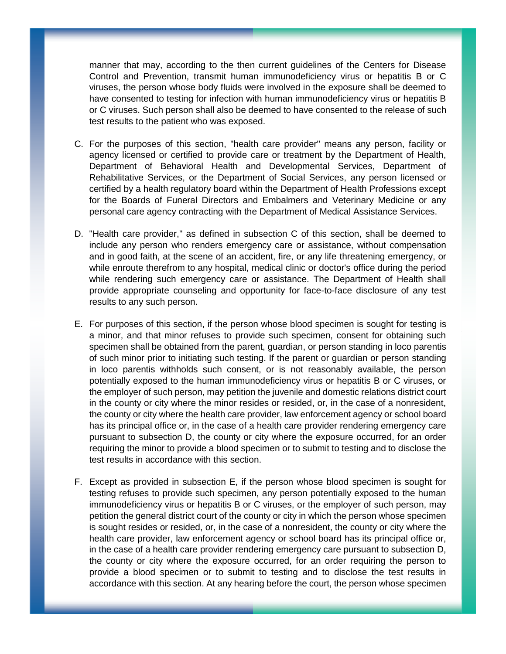manner that may, according to the then current guidelines of the Centers for Disease Control and Prevention, transmit human immunodeficiency virus or hepatitis B or C viruses, the person whose body fluids were involved in the exposure shall be deemed to have consented to testing for infection with human immunodeficiency virus or hepatitis B or C viruses. Such person shall also be deemed to have consented to the release of such test results to the patient who was exposed.

- C. For the purposes of this section, "health care provider" means any person, facility or agency licensed or certified to provide care or treatment by the Department of Health, Department of Behavioral Health and Developmental Services, Department of Rehabilitative Services, or the Department of Social Services, any person licensed or certified by a health regulatory board within the Department of Health Professions except for the Boards of Funeral Directors and Embalmers and Veterinary Medicine or any personal care agency contracting with the Department of Medical Assistance Services.
- D. "Health care provider," as defined in subsection C of this section, shall be deemed to include any person who renders emergency care or assistance, without compensation and in good faith, at the scene of an accident, fire, or any life threatening emergency, or while enroute therefrom to any hospital, medical clinic or doctor's office during the period while rendering such emergency care or assistance. The Department of Health shall provide appropriate counseling and opportunity for face-to-face disclosure of any test results to any such person.
- E. For purposes of this section, if the person whose blood specimen is sought for testing is a minor, and that minor refuses to provide such specimen, consent for obtaining such specimen shall be obtained from the parent, guardian, or person standing in loco parentis of such minor prior to initiating such testing. If the parent or guardian or person standing in loco parentis withholds such consent, or is not reasonably available, the person potentially exposed to the human immunodeficiency virus or hepatitis B or C viruses, or the employer of such person, may petition the juvenile and domestic relations district court in the county or city where the minor resides or resided, or, in the case of a nonresident, the county or city where the health care provider, law enforcement agency or school board has its principal office or, in the case of a health care provider rendering emergency care pursuant to subsection D, the county or city where the exposure occurred, for an order requiring the minor to provide a blood specimen or to submit to testing and to disclose the test results in accordance with this section.
- F. Except as provided in subsection E, if the person whose blood specimen is sought for testing refuses to provide such specimen, any person potentially exposed to the human immunodeficiency virus or hepatitis B or C viruses, or the employer of such person, may petition the general district court of the county or city in which the person whose specimen is sought resides or resided, or, in the case of a nonresident, the county or city where the health care provider, law enforcement agency or school board has its principal office or, in the case of a health care provider rendering emergency care pursuant to subsection D, the county or city where the exposure occurred, for an order requiring the person to provide a blood specimen or to submit to testing and to disclose the test results in accordance with this section. At any hearing before the court, the person whose specimen